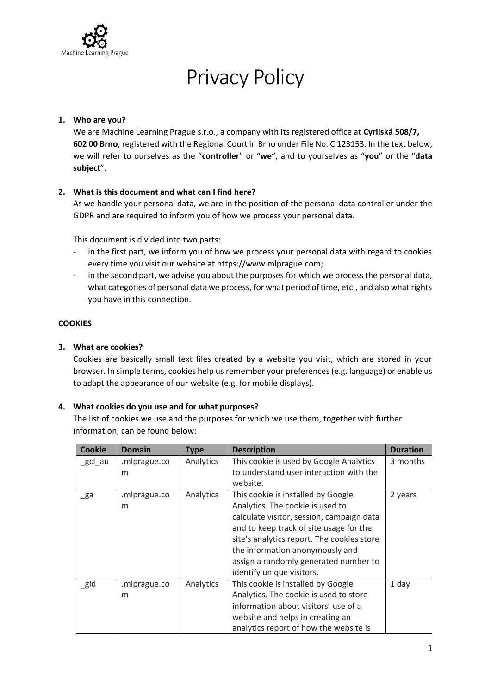

# Privacy Policy

#### **1. Who are you?**

We are Machine Learning Prague s.r.o., a company with its registered office at **Cyrilská 508/7, 602 00 Brno**, registered with the Regional Court in Brno under File No. C 123153. In the text below, we will refer to ourselves as the "**controller**" or "**we**", and to yourselves as "**you**" or the "**data subject**".

#### **2. What is this document and what can I find here?**

As we handle your personal data, we are in the position of the personal data controller under the GDPR and are required to inform you of how we process your personal data.

This document is divided into two parts:

- in the first part, we inform you of how we process your personal data with regard to cookies every time you visit our website at https://www.mlprague.com;
- in the second part, we advise you about the purposes for which we process the personal data, what categories of personal data we process, for what period of time, etc., and also what rights you have in this connection.

#### **COOKIES**

#### **3. What are cookies?**

Cookies are basically small text files created by a website you visit, which are stored in your browser. In simple terms, cookies help us remember your preferences (e.g. language) or enable us to adapt the appearance of our website (e.g. for mobile displays).

#### **4. What cookies do you use and for what purposes?**

The list of cookies we use and the purposes for which we use them, together with further information, can be found below:

| <b>Cookie</b>  | <b>Domain</b> | <b>Type</b> | <b>Description</b>                         | <b>Duration</b> |
|----------------|---------------|-------------|--------------------------------------------|-----------------|
| _gcl_au        | .mlprague.co  | Analytics   | This cookie is used by Google Analytics    | 3 months        |
|                | m             |             | to understand user interaction with the    |                 |
|                |               |             | website.                                   |                 |
| $\mathsf{g}$ a | .mlprague.co  | Analytics   | This cookie is installed by Google         | 2 years         |
|                | m             |             | Analytics. The cookie is used to           |                 |
|                |               |             | calculate visitor, session, campaign data  |                 |
|                |               |             | and to keep track of site usage for the    |                 |
|                |               |             | site's analytics report. The cookies store |                 |
|                |               |             | the information anonymously and            |                 |
|                |               |             | assign a randomly generated number to      |                 |
|                |               |             | identify unique visitors.                  |                 |
| $\_$ gid       | .mlprague.co  | Analytics   | This cookie is installed by Google         | 1 day           |
|                | m             |             | Analytics. The cookie is used to store     |                 |
|                |               |             | information about visitors' use of a       |                 |
|                |               |             | website and helps in creating an           |                 |
|                |               |             | analytics report of how the website is     |                 |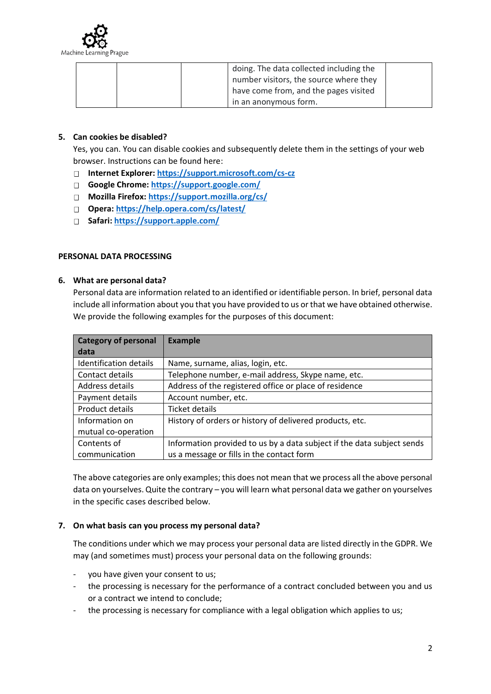

|  | doing. The data collected including the |  |
|--|-----------------------------------------|--|
|  | number visitors, the source where they  |  |
|  | have come from, and the pages visited   |  |
|  | in an anonymous form.                   |  |

#### **5. Can cookies be disabled?**

Yes, you can. You can disable cookies and subsequently delete them in the settings of your web browser. Instructions can be found here:

- **Internet Explorer: <https://support.microsoft.com/cs-cz>**
- **Google Chrome: <https://support.google.com/>**
- **Mozilla Firefox: <https://support.mozilla.org/cs/>**
- **Opera[: https://help.opera.com/cs/latest/](https://help.opera.com/cs/latest/)**
- **Safari: <https://support.apple.com/>**

#### **PERSONAL DATA PROCESSING**

#### **6. What are personal data?**

Personal data are information related to an identified or identifiable person. In brief, personal data include all information about you that you have provided to us or that we have obtained otherwise. We provide the following examples for the purposes of this document:

| <b>Category of personal</b> | <b>Example</b>                                                         |
|-----------------------------|------------------------------------------------------------------------|
| data                        |                                                                        |
| Identification details      | Name, surname, alias, login, etc.                                      |
| Contact details             | Telephone number, e-mail address, Skype name, etc.                     |
| Address details             | Address of the registered office or place of residence                 |
| Payment details             | Account number, etc.                                                   |
| Product details             | Ticket details                                                         |
| Information on              | History of orders or history of delivered products, etc.               |
| mutual co-operation         |                                                                        |
| Contents of                 | Information provided to us by a data subject if the data subject sends |
| communication               | us a message or fills in the contact form                              |

The above categories are only examples; this does not mean that we process all the above personal data on yourselves. Quite the contrary – you will learn what personal data we gather on yourselves in the specific cases described below.

#### **7. On what basis can you process my personal data?**

The conditions under which we may process your personal data are listed directly in the GDPR. We may (and sometimes must) process your personal data on the following grounds:

- you have given your consent to us;
- the processing is necessary for the performance of a contract concluded between you and us or a contract we intend to conclude;
- the processing is necessary for compliance with a legal obligation which applies to us;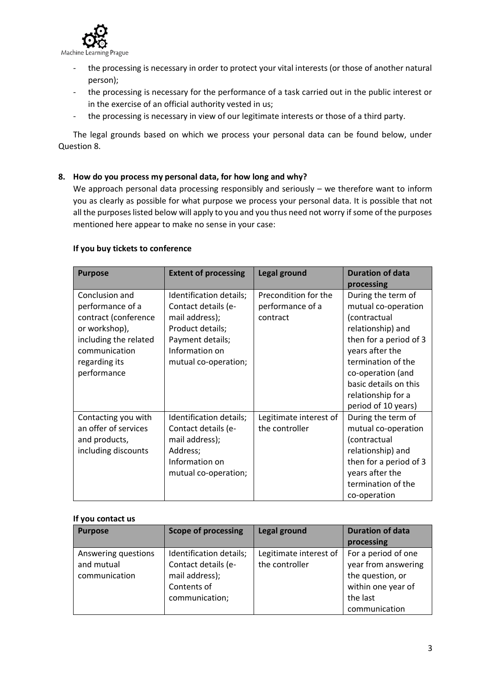

- the processing is necessary in order to protect your vital interests (or those of another natural person);
- the processing is necessary for the performance of a task carried out in the public interest or in the exercise of an official authority vested in us;
- the processing is necessary in view of our legitimate interests or those of a third party.

The legal grounds based on which we process your personal data can be found below, under Question [8.](#page-2-0)

#### <span id="page-2-0"></span>**8. How do you process my personal data, for how long and why?**

We approach personal data processing responsibly and seriously – we therefore want to inform you as clearly as possible for what purpose we process your personal data. It is possible that not all the purposes listed below will apply to you and you thus need not worry if some of the purposes mentioned here appear to make no sense in your case:

#### **If you buy tickets to conference**

| <b>Purpose</b>        | <b>Extent of processing</b> | Legal ground           | <b>Duration of data</b><br>processing |
|-----------------------|-----------------------------|------------------------|---------------------------------------|
| Conclusion and        | Identification details;     | Precondition for the   | During the term of                    |
| performance of a      | Contact details (e-         | performance of a       | mutual co-operation                   |
| contract (conference  | mail address);              | contract               | (contractual                          |
| or workshop),         | Product details;            |                        | relationship) and                     |
| including the related | Payment details;            |                        | then for a period of 3                |
| communication         | Information on              |                        | years after the                       |
| regarding its         | mutual co-operation;        |                        | termination of the                    |
| performance           |                             |                        | co-operation (and                     |
|                       |                             |                        | basic details on this                 |
|                       |                             |                        | relationship for a                    |
|                       |                             |                        | period of 10 years)                   |
| Contacting you with   | Identification details;     | Legitimate interest of | During the term of                    |
| an offer of services  | Contact details (e-         | the controller         | mutual co-operation                   |
| and products,         | mail address);              |                        | (contractual                          |
| including discounts   | Address;                    |                        | relationship) and                     |
|                       | Information on              |                        | then for a period of 3                |
|                       | mutual co-operation;        |                        | years after the                       |
|                       |                             |                        | termination of the                    |
|                       |                             |                        | co-operation                          |

#### **If you contact us**

| <b>Purpose</b>      | <b>Scope of processing</b> | Legal ground           | <b>Duration of data</b> |
|---------------------|----------------------------|------------------------|-------------------------|
|                     |                            |                        | processing              |
| Answering questions | Identification details;    | Legitimate interest of | For a period of one     |
| and mutual          | Contact details (e-        | the controller         | year from answering     |
| communication       | mail address);             |                        | the question, or        |
|                     | Contents of                |                        | within one year of      |
|                     | communication;             |                        | the last                |
|                     |                            |                        | communication           |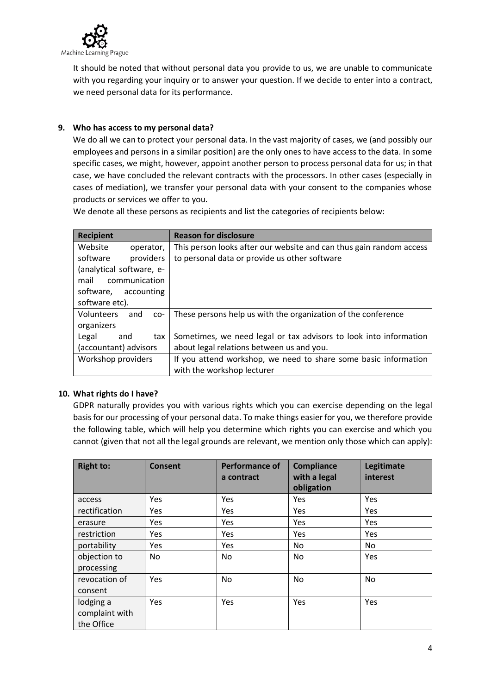

It should be noted that without personal data you provide to us, we are unable to communicate with you regarding your inquiry or to answer your question. If we decide to enter into a contract, we need personal data for its performance.

## **9. Who has access to my personal data?**

We do all we can to protect your personal data. In the vast majority of cases, we (and possibly our employees and persons in a similar position) are the only ones to have access to the data. In some specific cases, we might, however, appoint another person to process personal data for us; in that case, we have concluded the relevant contracts with the processors. In other cases (especially in cases of mediation), we transfer your personal data with your consent to the companies whose products or services we offer to you.

We denote all these persons as recipients and list the categories of recipients below:

| <b>Recipient</b>           | <b>Reason for disclosure</b>                                        |  |
|----------------------------|---------------------------------------------------------------------|--|
| Website<br>operator,       | This person looks after our website and can thus gain random access |  |
| software<br>providers      | to personal data or provide us other software                       |  |
| (analytical software, e-   |                                                                     |  |
| communication<br>mail      |                                                                     |  |
| software,<br>accounting    |                                                                     |  |
| software etc).             |                                                                     |  |
| Volunteers<br>and<br>$CO-$ | These persons help us with the organization of the conference       |  |
| organizers                 |                                                                     |  |
| Legal<br>and<br>tax        | Sometimes, we need legal or tax advisors to look into information   |  |
| (accountant) advisors      | about legal relations between us and you.                           |  |
| Workshop providers         | If you attend workshop, we need to share some basic information     |  |
|                            | with the workshop lecturer                                          |  |

## **10. What rights do I have?**

GDPR naturally provides you with various rights which you can exercise depending on the legal basis for our processing of your personal data. To make things easier for you, we therefore provide the following table, which will help you determine which rights you can exercise and which you cannot (given that not all the legal grounds are relevant, we mention only those which can apply):

| <b>Right to:</b>                          | <b>Consent</b> | Performance of<br>a contract | <b>Compliance</b><br>with a legal<br>obligation | Legitimate<br>interest |
|-------------------------------------------|----------------|------------------------------|-------------------------------------------------|------------------------|
| access                                    | Yes            | Yes                          | Yes                                             | Yes                    |
| rectification                             | Yes            | Yes                          | Yes                                             | Yes                    |
| erasure                                   | <b>Yes</b>     | Yes                          | <b>Yes</b>                                      | Yes                    |
| restriction                               | <b>Yes</b>     | Yes                          | Yes                                             | Yes                    |
| portability                               | <b>Yes</b>     | Yes                          | No                                              | No                     |
| objection to<br>processing                | <b>No</b>      | No                           | No                                              | Yes                    |
| revocation of<br>consent                  | Yes            | <b>No</b>                    | No                                              | No                     |
| lodging a<br>complaint with<br>the Office | Yes            | Yes                          | Yes                                             | Yes                    |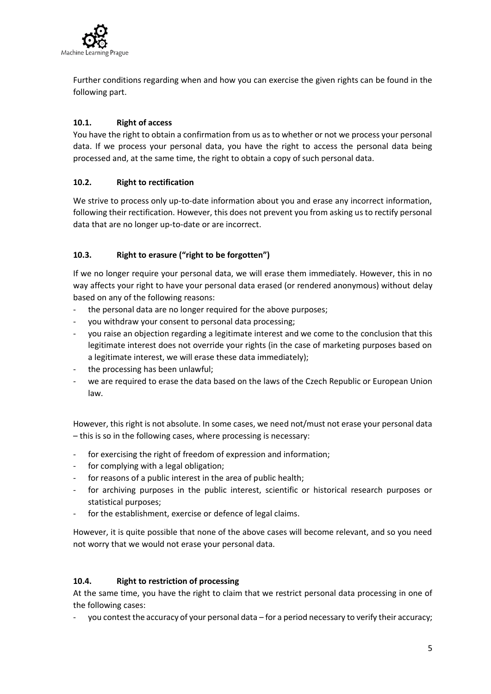

Further conditions regarding when and how you can exercise the given rights can be found in the following part.

## **10.1. Right of access**

You have the right to obtain a confirmation from us as to whether or not we process your personal data. If we process your personal data, you have the right to access the personal data being processed and, at the same time, the right to obtain a copy of such personal data.

## **10.2. Right to rectification**

We strive to process only up-to-date information about you and erase any incorrect information, following their rectification. However, this does not prevent you from asking us to rectify personal data that are no longer up-to-date or are incorrect.

# **10.3. Right to erasure ("right to be forgotten")**

If we no longer require your personal data, we will erase them immediately. However, this in no way affects your right to have your personal data erased (or rendered anonymous) without delay based on any of the following reasons:

- the personal data are no longer required for the above purposes;
- you withdraw your consent to personal data processing;
- you raise an objection regarding a legitimate interest and we come to the conclusion that this legitimate interest does not override your rights (in the case of marketing purposes based on a legitimate interest, we will erase these data immediately);
- the processing has been unlawful;
- we are required to erase the data based on the laws of the Czech Republic or European Union law.

However, this right is not absolute. In some cases, we need not/must not erase your personal data – this is so in the following cases, where processing is necessary:

- for exercising the right of freedom of expression and information;
- for complying with a legal obligation;
- for reasons of a public interest in the area of public health;
- for archiving purposes in the public interest, scientific or historical research purposes or statistical purposes;
- for the establishment, exercise or defence of legal claims.

However, it is quite possible that none of the above cases will become relevant, and so you need not worry that we would not erase your personal data.

## **10.4. Right to restriction of processing**

At the same time, you have the right to claim that we restrict personal data processing in one of the following cases:

you contest the accuracy of your personal data – for a period necessary to verify their accuracy;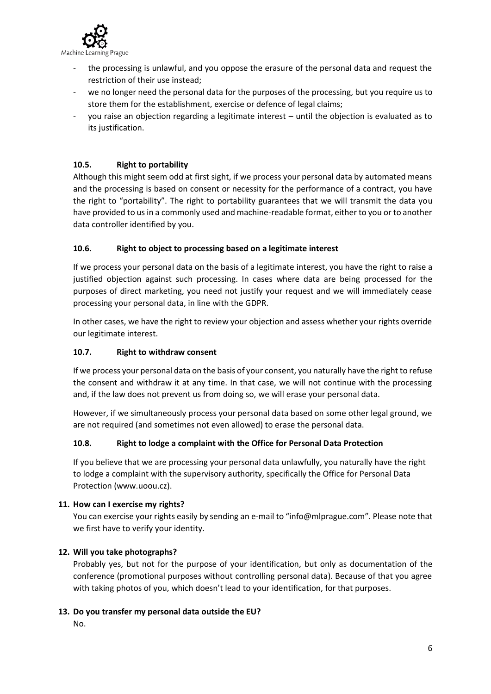

- the processing is unlawful, and you oppose the erasure of the personal data and request the restriction of their use instead;
- we no longer need the personal data for the purposes of the processing, but you require us to store them for the establishment, exercise or defence of legal claims;
- you raise an objection regarding a legitimate interest until the objection is evaluated as to its justification.

## **10.5. Right to portability**

Although this might seem odd at first sight, if we process your personal data by automated means and the processing is based on consent or necessity for the performance of a contract, you have the right to "portability". The right to portability guarantees that we will transmit the data you have provided to us in a commonly used and machine-readable format, either to you or to another data controller identified by you.

## **10.6. Right to object to processing based on a legitimate interest**

If we process your personal data on the basis of a legitimate interest, you have the right to raise a justified objection against such processing. In cases where data are being processed for the purposes of direct marketing, you need not justify your request and we will immediately cease processing your personal data, in line with the GDPR.

In other cases, we have the right to review your objection and assess whether your rights override our legitimate interest.

## **10.7. Right to withdraw consent**

If we process your personal data on the basis of your consent, you naturally have the right to refuse the consent and withdraw it at any time. In that case, we will not continue with the processing and, if the law does not prevent us from doing so, we will erase your personal data.

However, if we simultaneously process your personal data based on some other legal ground, we are not required (and sometimes not even allowed) to erase the personal data.

## **10.8. Right to lodge a complaint with the Office for Personal Data Protection**

If you believe that we are processing your personal data unlawfully, you naturally have the right to lodge a complaint with the supervisory authority, specifically the Office for Personal Data Protection (www.uoou.cz).

## **11. How can I exercise my rights?**

You can exercise your rights easily by sending an e-mail to "info@mlprague.com". Please note that we first have to verify your identity.

## **12. Will you take photographs?**

Probably yes, but not for the purpose of your identification, but only as documentation of the conference (promotional purposes without controlling personal data). Because of that you agree with taking photos of you, which doesn't lead to your identification, for that purposes.

## **13. Do you transfer my personal data outside the EU?**

No.